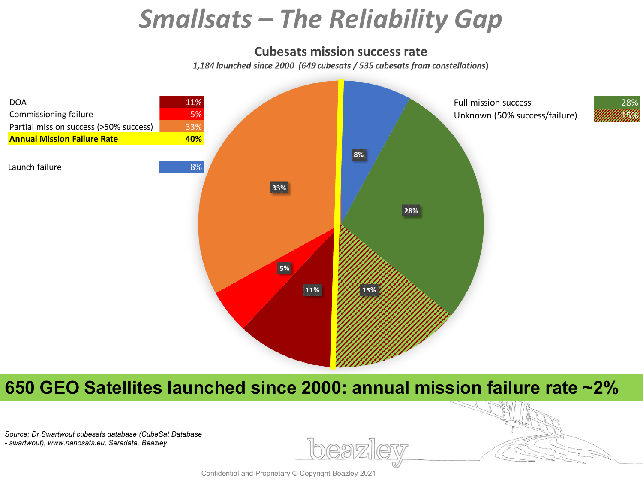## *Smallsats – The Reliability Gap*

## **Cubesats mission success rate**

1,184 launched since 2000 (649 cubesats / 535 cubesats from constellations)



## **650 GEO Satellites launched since 2000: annual mission failure rate ~2%**

*Source: Dr Swartwout cubesats database (CubeSat Database*